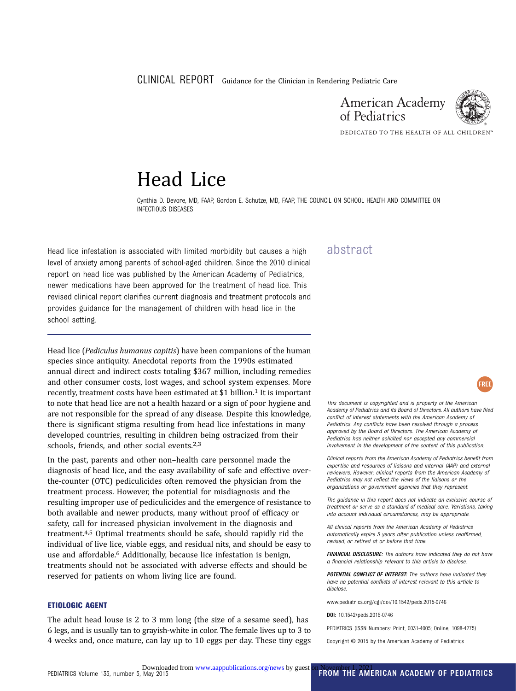CLINICAL REPORT Guidance for the Clinician in Rendering Pediatric Care

**American Academy** of Pediatrics



FRF

DEDICATED TO THE HEALTH OF ALL CHILDREN'

# Head Lice

Cynthia D. Devore, MD, FAAP, Gordon E. Schutze, MD, FAAP, THE COUNCIL ON SCHOOL HEALTH AND COMMITTEE ON INFECTIOUS DISEASES

Head lice infestation is associated with limited morbidity but causes a high  $a$  abstract level of anxiety among parents of school-aged children. Since the 2010 clinical report on head lice was published by the American Academy of Pediatrics, newer medications have been approved for the treatment of head lice. This revised clinical report clarifies current diagnosis and treatment protocols and provides guidance for the management of children with head lice in the school setting.

Head lice (Pediculus humanus capitis) have been companions of the human species since antiquity. Anecdotal reports from the 1990s estimated annual direct and indirect costs totaling \$367 million, including remedies and other consumer costs, lost wages, and school system expenses. More recently, treatment costs have been estimated at \$1 billion.<sup>1</sup> It is important to note that head lice are not a health hazard or a sign of poor hygiene and are not responsible for the spread of any disease. Despite this knowledge, there is significant stigma resulting from head lice infestations in many developed countries, resulting in children being ostracized from their schools, friends, and other social events.<sup>2,3</sup>

In the past, parents and other non–health care personnel made the diagnosis of head lice, and the easy availability of safe and effective overthe-counter (OTC) pediculicides often removed the physician from the treatment process. However, the potential for misdiagnosis and the resulting improper use of pediculicides and the emergence of resistance to both available and newer products, many without proof of efficacy or safety, call for increased physician involvement in the diagnosis and treatment.4,5 Optimal treatments should be safe, should rapidly rid the individual of live lice, viable eggs, and residual nits, and should be easy to use and affordable.6 Additionally, because lice infestation is benign, treatments should not be associated with adverse effects and should be reserved for patients on whom living lice are found.

#### ETIOLOGIC AGENT

The adult head louse is 2 to 3 mm long (the size of a sesame seed), has 6 legs, and is usually tan to grayish-white in color. The female lives up to 3 to 4 weeks and, once mature, can lay up to 10 eggs per day. These tiny eggs

This document is copyrighted and is property of the American Academy of Pediatrics and its Board of Directors. All authors have filed conflict of interest statements with the American Academy of Pediatrics. Any conflicts have been resolved through a process approved by the Board of Directors. The American Academy of Pediatrics has neither solicited nor accepted any commercial involvement in the development of the content of this publication.

Clinical reports from the American Academy of Pediatrics benefit from expertise and resources of liaisons and internal (AAP) and external reviewers. However, clinical reports from the American Academy of Pediatrics may not reflect the views of the liaisons or the organizations or government agencies that they represent.

The guidance in this report does not indicate an exclusive course of treatment or serve as a standard of medical care. Variations, taking into account individual circumstances, may be appropriate.

All clinical reports from the American Academy of Pediatrics automatically expire 5 years after publication unless reaffirmed, revised, or retired at or before that time.

FINANCIAL DISCLOSURE: The authors have indicated they do not have a financial relationship relevant to this article to disclose.

POTENTIAL CONFLICT OF INTEREST: The authors have indicated they have no potential conflicts of interest relevant to this article to disclose

www.pediatrics.org/cgi/doi/10.1542/peds.2015-0746

DOI: 10.1542/peds.2015-0746

PEDIATRICS (ISSN Numbers: Print, 0031-4005; Online, 1098-4275).

Copyright © 2015 by the American Academy of Pediatrics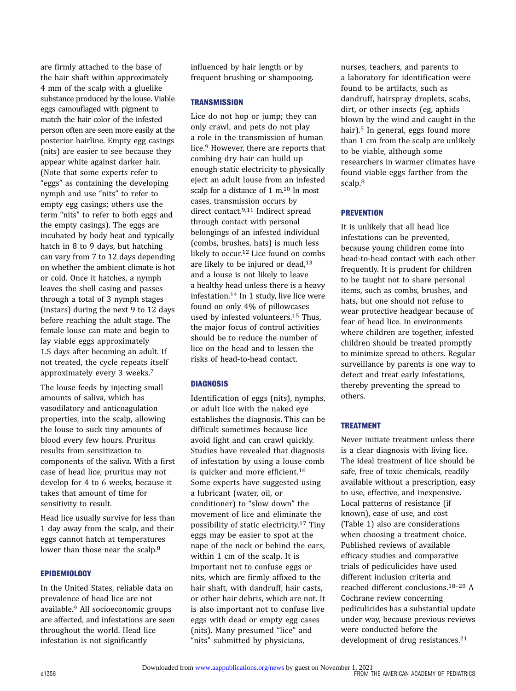are firmly attached to the base of the hair shaft within approximately 4 mm of the scalp with a gluelike substance produced by the louse. Viable eggs camouflaged with pigment to match the hair color of the infested person often are seen more easily at the posterior hairline. Empty egg casings (nits) are easier to see because they appear white against darker hair. (Note that some experts refer to "eggs" as containing the developing nymph and use "nits" to refer to empty egg casings; others use the term "nits" to refer to both eggs and the empty casings). The eggs are incubated by body heat and typically hatch in 8 to 9 days, but hatching can vary from 7 to 12 days depending on whether the ambient climate is hot or cold. Once it hatches, a nymph leaves the shell casing and passes through a total of 3 nymph stages (instars) during the next 9 to 12 days before reaching the adult stage. The female louse can mate and begin to lay viable eggs approximately 1.5 days after becoming an adult. If not treated, the cycle repeats itself approximately every 3 weeks.7

The louse feeds by injecting small amounts of saliva, which has vasodilatory and anticoagulation properties, into the scalp, allowing the louse to suck tiny amounts of blood every few hours. Pruritus results from sensitization to components of the saliva. With a first case of head lice, pruritus may not develop for 4 to 6 weeks, because it takes that amount of time for sensitivity to result.

Head lice usually survive for less than 1 day away from the scalp, and their eggs cannot hatch at temperatures lower than those near the scalp.<sup>8</sup>

# EPIDEMIOLOGY

In the United States, reliable data on prevalence of head lice are not available.9 All socioeconomic groups are affected, and infestations are seen throughout the world. Head lice infestation is not significantly

influenced by hair length or by frequent brushing or shampooing.

# **TRANSMISSION**

Lice do not hop or jump; they can only crawl, and pets do not play a role in the transmission of human lice.9 However, there are reports that combing dry hair can build up enough static electricity to physically eject an adult louse from an infested scalp for a distance of 1 m.<sup>10</sup> In most cases, transmission occurs by direct contact.9,11 Indirect spread through contact with personal belongings of an infested individual (combs, brushes, hats) is much less likely to occur.<sup>12</sup> Lice found on combs are likely to be injured or dead,<sup>13</sup> and a louse is not likely to leave a healthy head unless there is a heavy infestation.14 In 1 study, live lice were found on only 4% of pillowcases used by infested volunteers.15 Thus, the major focus of control activities should be to reduce the number of lice on the head and to lessen the risks of head-to-head contact.

# **DIAGNOSIS**

Identification of eggs (nits), nymphs, or adult lice with the naked eye establishes the diagnosis. This can be difficult sometimes because lice avoid light and can crawl quickly. Studies have revealed that diagnosis of infestation by using a louse comb is quicker and more efficient.16 Some experts have suggested using a lubricant (water, oil, or conditioner) to "slow down" the movement of lice and eliminate the possibility of static electricity.17 Tiny eggs may be easier to spot at the nape of the neck or behind the ears, within 1 cm of the scalp. It is important not to confuse eggs or nits, which are firmly affixed to the hair shaft, with dandruff, hair casts, or other hair debris, which are not. It is also important not to confuse live eggs with dead or empty egg cases (nits). Many presumed "lice" and "nits" submitted by physicians,

nurses, teachers, and parents to a laboratory for identification were found to be artifacts, such as dandruff, hairspray droplets, scabs, dirt, or other insects (eg, aphids blown by the wind and caught in the hair).<sup>5</sup> In general, eggs found more than 1 cm from the scalp are unlikely to be viable, although some researchers in warmer climates have found viable eggs farther from the scalp.8

# **PREVENTION**

It is unlikely that all head lice infestations can be prevented, because young children come into head-to-head contact with each other frequently. It is prudent for children to be taught not to share personal items, such as combs, brushes, and hats, but one should not refuse to wear protective headgear because of fear of head lice. In environments where children are together, infested children should be treated promptly to minimize spread to others. Regular surveillance by parents is one way to detect and treat early infestations, thereby preventing the spread to others.

# TREATMENT

Never initiate treatment unless there is a clear diagnosis with living lice. The ideal treatment of lice should be safe, free of toxic chemicals, readily available without a prescription, easy to use, effective, and inexpensive. Local patterns of resistance (if known), ease of use, and cost (Table 1) also are considerations when choosing a treatment choice. Published reviews of available efficacy studies and comparative trials of pediculicides have used different inclusion criteria and reached different conclusions.18–<sup>20</sup> A Cochrane review concerning pediculicides has a substantial update under way, because previous reviews were conducted before the development of drug resistances.<sup>21</sup>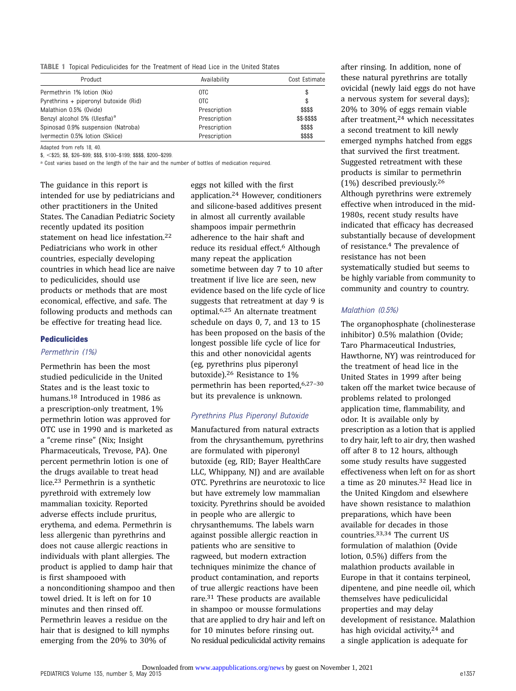TABLE 1 Topical Pediculicides for the Treatment of Head Lice in the United States

| Product                                  | Availability | Cost Estimate |
|------------------------------------------|--------------|---------------|
| Permethrin 1% lotion (Nix)               | OTC.         | \$            |
| Pyrethrins + piperonyl butoxide (Rid)    | OTC.         | \$            |
| Malathion 0.5% (Ovide)                   | Prescription | \$\$\$\$      |
| Benzyl alcohol 5% (Ulesfia) <sup>a</sup> | Prescription | \$\$-\$\$\$\$ |
| Spinosad 0.9% suspension (Natroba)       | Prescription | \$\$\$\$      |
| Ivermectin 0.5% lotion (Sklice)          | Prescription | \$\$\$\$      |

Adapted from refs 18, 40.

 $$$ , <\$25; \$\$, \$26–\$99; \$\$\$, \$100–\$199; \$\$\$\$, \$200–\$299.

a Cost varies based on the length of the hair and the number of bottles of medication required.

The guidance in this report is intended for use by pediatricians and other practitioners in the United States. The Canadian Pediatric Society recently updated its position statement on head lice infestation.22 Pediatricians who work in other countries, especially developing countries in which head lice are naive to pediculicides, should use products or methods that are most economical, effective, and safe. The following products and methods can be effective for treating head lice.

#### Pediculicides

#### Permethrin (1%)

Permethrin has been the most studied pediculicide in the United States and is the least toxic to humans.18 Introduced in 1986 as a prescription-only treatment, 1% permethrin lotion was approved for OTC use in 1990 and is marketed as a "creme rinse" (Nix; Insight Pharmaceuticals, Trevose, PA). One percent permethrin lotion is one of the drugs available to treat head lice.23 Permethrin is a synthetic pyrethroid with extremely low mammalian toxicity. Reported adverse effects include pruritus, erythema, and edema. Permethrin is less allergenic than pyrethrins and does not cause allergic reactions in individuals with plant allergies. The product is applied to damp hair that is first shampooed with a nonconditioning shampoo and then towel dried. It is left on for 10 minutes and then rinsed off. Permethrin leaves a residue on the hair that is designed to kill nymphs emerging from the 20% to 30% of

eggs not killed with the first application.24 However, conditioners and silicone-based additives present in almost all currently available shampoos impair permethrin adherence to the hair shaft and reduce its residual effect.<sup>6</sup> Although many repeat the application sometime between day 7 to 10 after treatment if live lice are seen, new evidence based on the life cycle of lice suggests that retreatment at day 9 is optimal.6,25 An alternate treatment schedule on days 0, 7, and 13 to 15 has been proposed on the basis of the longest possible life cycle of lice for this and other nonovicidal agents (eg, pyrethrins plus piperonyl butoxide).26 Resistance to 1% permethrin has been reported,6,27–<sup>30</sup> but its prevalence is unknown.

#### Pyrethrins Plus Piperonyl Butoxide

Manufactured from natural extracts from the chrysanthemum, pyrethrins are formulated with piperonyl butoxide (eg, RID; Bayer HealthCare LLC, Whippany, NJ) and are available OTC. Pyrethrins are neurotoxic to lice but have extremely low mammalian toxicity. Pyrethrins should be avoided in people who are allergic to chrysanthemums. The labels warn against possible allergic reaction in patients who are sensitive to ragweed, but modern extraction techniques minimize the chance of product contamination, and reports of true allergic reactions have been rare.31 These products are available in shampoo or mousse formulations that are applied to dry hair and left on for 10 minutes before rinsing out. No residual pediculicidal activity remains

after rinsing. In addition, none of these natural pyrethrins are totally ovicidal (newly laid eggs do not have a nervous system for several days); 20% to 30% of eggs remain viable after treatment,<sup>24</sup> which necessitates a second treatment to kill newly emerged nymphs hatched from eggs that survived the first treatment. Suggested retreatment with these products is similar to permethrin (1%) described previously.26 Although pyrethrins were extremely effective when introduced in the mid-1980s, recent study results have indicated that efficacy has decreased substantially because of development of resistance.4 The prevalence of resistance has not been systematically studied but seems to be highly variable from community to community and country to country.

#### Malathion (0.5%)

The organophosphate (cholinesterase inhibitor) 0.5% malathion (Ovide; Taro Pharmaceutical Industries, Hawthorne, NY) was reintroduced for the treatment of head lice in the United States in 1999 after being taken off the market twice because of problems related to prolonged application time, flammability, and odor. It is available only by prescription as a lotion that is applied to dry hair, left to air dry, then washed off after 8 to 12 hours, although some study results have suggested effectiveness when left on for as short a time as 20 minutes.32 Head lice in the United Kingdom and elsewhere have shown resistance to malathion preparations, which have been available for decades in those countries.33,34 The current US formulation of malathion (Ovide lotion, 0.5%) differs from the malathion products available in Europe in that it contains terpineol, dipentene, and pine needle oil, which themselves have pediculicidal properties and may delay development of resistance. Malathion has high ovicidal activity,<sup>24</sup> and a single application is adequate for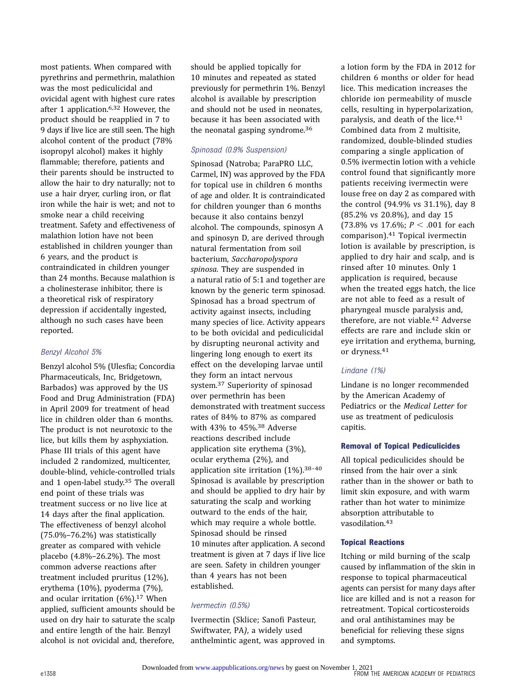most patients. When compared with pyrethrins and permethrin, malathion was the most pediculicidal and ovicidal agent with highest cure rates after 1 application.6,32 However, the product should be reapplied in 7 to 9 days if live lice are still seen. The high alcohol content of the product (78% isopropyl alcohol) makes it highly flammable; therefore, patients and their parents should be instructed to allow the hair to dry naturally; not to use a hair dryer, curling iron, or flat iron while the hair is wet; and not to smoke near a child receiving treatment. Safety and effectiveness of malathion lotion have not been established in children younger than 6 years, and the product is contraindicated in children younger than 24 months. Because malathion is a cholinesterase inhibitor, there is a theoretical risk of respiratory depression if accidentally ingested, although no such cases have been reported.

# Benzyl Alcohol 5%

Benzyl alcohol 5% (Ulesfia; Concordia Pharmaceuticals, Inc, Bridgetown, Barbados) was approved by the US Food and Drug Administration (FDA) in April 2009 for treatment of head lice in children older than 6 months. The product is not neurotoxic to the lice, but kills them by asphyxiation. Phase III trials of this agent have included 2 randomized, multicenter, double-blind, vehicle-controlled trials and 1 open-label study.35 The overall end point of these trials was treatment success or no live lice at 14 days after the final application. The effectiveness of benzyl alcohol (75.0%–76.2%) was statistically greater as compared with vehicle placebo (4.8%–26.2%). The most common adverse reactions after treatment included pruritus (12%), erythema (10%), pyoderma (7%), and ocular irritation  $(6%)$ .<sup>17</sup> When applied, sufficient amounts should be used on dry hair to saturate the scalp and entire length of the hair. Benzyl alcohol is not ovicidal and, therefore,

should be applied topically for 10 minutes and repeated as stated previously for permethrin 1%. Benzyl alcohol is available by prescription and should not be used in neonates, because it has been associated with the neonatal gasping syndrome.36

# Spinosad (0.9% Suspension)

Spinosad (Natroba; ParaPRO LLC, Carmel, IN) was approved by the FDA for topical use in children 6 months of age and older. It is contraindicated for children younger than 6 months because it also contains benzyl alcohol. The compounds, spinosyn A and spinosyn D, are derived through natural fermentation from soil bacterium, Saccharopolyspora spinosa. They are suspended in a natural ratio of 5:1 and together are known by the generic term spinosad. Spinosad has a broad spectrum of activity against insects, including many species of lice. Activity appears to be both ovicidal and pediculicidal by disrupting neuronal activity and lingering long enough to exert its effect on the developing larvae until they form an intact nervous system.37 Superiority of spinosad over permethrin has been demonstrated with treatment success rates of 84% to 87% as compared with 43% to 45%.38 Adverse reactions described include application site erythema (3%), ocular erythema (2%), and application site irritation  $(1\%)$ .<sup>38-40</sup> Spinosad is available by prescription and should be applied to dry hair by saturating the scalp and working outward to the ends of the hair, which may require a whole bottle. Spinosad should be rinsed 10 minutes after application. A second treatment is given at 7 days if live lice are seen. Safety in children younger than 4 years has not been established.

# Ivermectin (0.5%)

Ivermectin (Sklice; Sanofi Pasteur, Swiftwater, PA), a widely used anthelmintic agent, was approved in a lotion form by the FDA in 2012 for children 6 months or older for head lice. This medication increases the chloride ion permeability of muscle cells, resulting in hyperpolarization, paralysis, and death of the lice.<sup>41</sup> Combined data from 2 multisite, randomized, double-blinded studies comparing a single application of 0.5% ivermectin lotion with a vehicle control found that significantly more patients receiving ivermectin were louse free on day 2 as compared with the control (94.9% vs 31.1%), day 8 (85.2% vs 20.8%), and day 15 (73.8% vs 17.6%;  $P < .001$  for each comparison).41 Topical ivermectin lotion is available by prescription, is applied to dry hair and scalp, and is rinsed after 10 minutes. Only 1 application is required, because when the treated eggs hatch, the lice are not able to feed as a result of pharyngeal muscle paralysis and, therefore, are not viable.42 Adverse effects are rare and include skin or eye irritation and erythema, burning, or dryness.41

# Lindane (1%)

Lindane is no longer recommended by the American Academy of Pediatrics or the Medical Letter for use as treatment of pediculosis capitis.

# Removal of Topical Pediculicides

All topical pediculicides should be rinsed from the hair over a sink rather than in the shower or bath to limit skin exposure, and with warm rather than hot water to minimize absorption attributable to vasodilation.43

# Topical Reactions

Itching or mild burning of the scalp caused by inflammation of the skin in response to topical pharmaceutical agents can persist for many days after lice are killed and is not a reason for retreatment. Topical corticosteroids and oral antihistamines may be beneficial for relieving these signs and symptoms.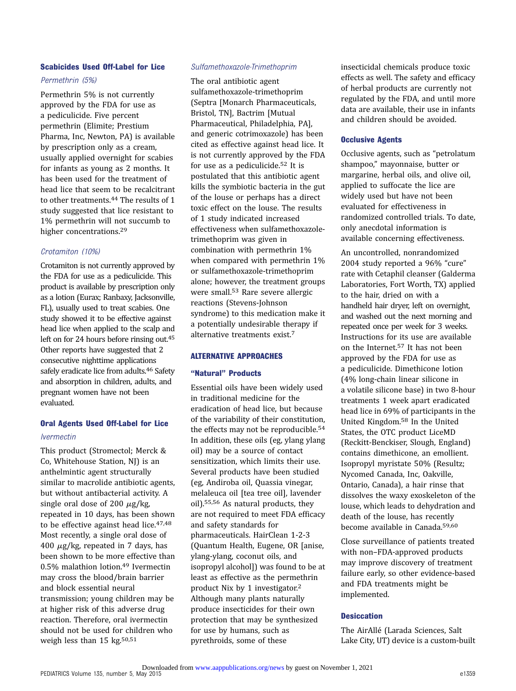# Scabicides Used Off-Label for Lice

# Permethrin (5%)

Permethrin 5% is not currently approved by the FDA for use as a pediculicide. Five percent permethrin (Elimite; Prestium Pharma, Inc, Newton, PA) is available by prescription only as a cream, usually applied overnight for scabies for infants as young as 2 months. It has been used for the treatment of head lice that seem to be recalcitrant to other treatments.44 The results of 1 study suggested that lice resistant to 1% permethrin will not succumb to higher concentrations.29

# Crotamiton (10%)

Crotamiton is not currently approved by the FDA for use as a pediculicide. This product is available by prescription only as a lotion (Eurax; Ranbaxy, Jacksonville, FL), usually used to treat scabies. One study showed it to be effective against head lice when applied to the scalp and left on for 24 hours before rinsing out.45 Other reports have suggested that 2 consecutive nighttime applications safely eradicate lice from adults.<sup>46</sup> Safety and absorption in children, adults, and pregnant women have not been evaluated.

# Oral Agents Used Off-Label for Lice Ivermectin

This product (Stromectol; Merck & Co, Whitehouse Station, NJ) is an anthelmintic agent structurally similar to macrolide antibiotic agents, but without antibacterial activity. A single oral dose of 200  $\mu$ g/kg, repeated in 10 days, has been shown to be effective against head lice.47,48 Most recently, a single oral dose of 400 mg/kg, repeated in 7 days, has been shown to be more effective than 0.5% malathion lotion.49 Ivermectin may cross the blood/brain barrier and block essential neural transmission; young children may be at higher risk of this adverse drug reaction. Therefore, oral ivermectin should not be used for children who weigh less than 15 kg.<sup>50,51</sup>

# Sulfamethoxazole-Trimethoprim

The oral antibiotic agent sulfamethoxazole-trimethoprim (Septra [Monarch Pharmaceuticals, Bristol, TN], Bactrim [Mutual Pharmaceutical, Philadelphia, PA], and generic cotrimoxazole) has been cited as effective against head lice. It is not currently approved by the FDA for use as a pediculicide.52 It is postulated that this antibiotic agent kills the symbiotic bacteria in the gut of the louse or perhaps has a direct toxic effect on the louse. The results of 1 study indicated increased effectiveness when sulfamethoxazoletrimethoprim was given in combination with permethrin 1% when compared with permethrin 1% or sulfamethoxazole-trimethoprim alone; however, the treatment groups were small.<sup>53</sup> Rare severe allergic reactions (Stevens-Johnson syndrome) to this medication make it a potentially undesirable therapy if alternative treatments exist.7

# ALTERNATIVE APPROACHES

# "Natural" Products

Essential oils have been widely used in traditional medicine for the eradication of head lice, but because of the variability of their constitution, the effects may not be reproducible.54 In addition, these oils (eg, ylang ylang oil) may be a source of contact sensitization, which limits their use. Several products have been studied (eg, Andiroba oil, Quassia vinegar, melaleuca oil [tea tree oil], lavender oil).55,56 As natural products, they are not required to meet FDA efficacy and safety standards for pharmaceuticals. HairClean 1-2-3 (Quantum Health, Eugene, OR [anise, ylang-ylang, coconut oils, and isopropyl alcohol]) was found to be at least as effective as the permethrin product Nix by 1 investigator.2 Although many plants naturally produce insecticides for their own protection that may be synthesized for use by humans, such as pyrethroids, some of these

insecticidal chemicals produce toxic effects as well. The safety and efficacy of herbal products are currently not regulated by the FDA, and until more data are available, their use in infants and children should be avoided.

# Occlusive Agents

Occlusive agents, such as "petrolatum shampoo," mayonnaise, butter or margarine, herbal oils, and olive oil, applied to suffocate the lice are widely used but have not been evaluated for effectiveness in randomized controlled trials. To date, only anecdotal information is available concerning effectiveness.

An uncontrolled, nonrandomized 2004 study reported a 96% "cure" rate with Cetaphil cleanser (Galderma Laboratories, Fort Worth, TX) applied to the hair, dried on with a handheld hair dryer, left on overnight, and washed out the next morning and repeated once per week for 3 weeks. Instructions for its use are available on the Internet.57 It has not been approved by the FDA for use as a pediculicide. Dimethicone lotion (4% long-chain linear silicone in a volatile silicone base) in two 8-hour treatments 1 week apart eradicated head lice in 69% of participants in the United Kingdom.58 In the United States, the OTC product LiceMD (Reckitt-Benckiser, Slough, England) contains dimethicone, an emollient. Isopropyl myristate 50% (Resultz; Nycomed Canada, Inc, Oakville, Ontario, Canada), a hair rinse that dissolves the waxy exoskeleton of the louse, which leads to dehydration and death of the louse, has recently become available in Canada.59,60

Close surveillance of patients treated with non–FDA-approved products may improve discovery of treatment failure early, so other evidence-based and FDA treatments might be implemented.

# **Desiccation**

The AirAllé (Larada Sciences, Salt Lake City, UT) device is a custom-built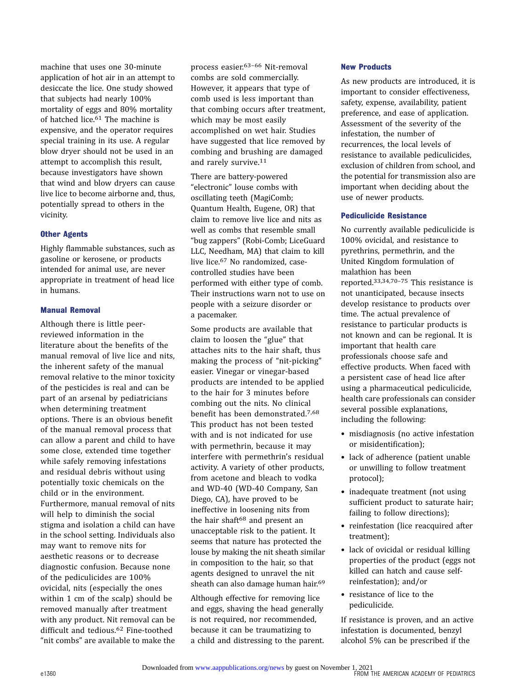machine that uses one 30-minute application of hot air in an attempt to desiccate the lice. One study showed that subjects had nearly 100% mortality of eggs and 80% mortality of hatched lice.61 The machine is expensive, and the operator requires special training in its use. A regular blow dryer should not be used in an attempt to accomplish this result, because investigators have shown that wind and blow dryers can cause live lice to become airborne and, thus, potentially spread to others in the vicinity.

# Other Agents

Highly flammable substances, such as gasoline or kerosene, or products intended for animal use, are never appropriate in treatment of head lice in humans.

# Manual Removal

Although there is little peerreviewed information in the literature about the benefits of the manual removal of live lice and nits, the inherent safety of the manual removal relative to the minor toxicity of the pesticides is real and can be part of an arsenal by pediatricians when determining treatment options. There is an obvious benefit of the manual removal process that can allow a parent and child to have some close, extended time together while safely removing infestations and residual debris without using potentially toxic chemicals on the child or in the environment. Furthermore, manual removal of nits will help to diminish the social stigma and isolation a child can have in the school setting. Individuals also may want to remove nits for aesthetic reasons or to decrease diagnostic confusion. Because none of the pediculicides are 100% ovicidal, nits (especially the ones within 1 cm of the scalp) should be removed manually after treatment with any product. Nit removal can be difficult and tedious.62 Fine-toothed "nit combs" are available to make the

process easier.63–<sup>66</sup> Nit-removal combs are sold commercially. However, it appears that type of comb used is less important than that combing occurs after treatment, which may be most easily accomplished on wet hair. Studies have suggested that lice removed by combing and brushing are damaged and rarely survive.11

There are battery-powered "electronic" louse combs with oscillating teeth (MagiComb; Quantum Health, Eugene, OR) that claim to remove live lice and nits as well as combs that resemble small "bug zappers" (Robi-Comb; LiceGuard LLC, Needham, MA) that claim to kill live lice.67 No randomized, casecontrolled studies have been performed with either type of comb. Their instructions warn not to use on people with a seizure disorder or a pacemaker.

Some products are available that claim to loosen the "glue" that attaches nits to the hair shaft, thus making the process of "nit-picking" easier. Vinegar or vinegar-based products are intended to be applied to the hair for 3 minutes before combing out the nits. No clinical benefit has been demonstrated.7,68 This product has not been tested with and is not indicated for use with permethrin, because it may interfere with permethrin's residual activity. A variety of other products, from acetone and bleach to vodka and WD-40 (WD-40 Company, San Diego, CA), have proved to be ineffective in loosening nits from the hair shaft $68$  and present an unacceptable risk to the patient. It seems that nature has protected the louse by making the nit sheath similar in composition to the hair, so that agents designed to unravel the nit sheath can also damage human hair.<sup>69</sup>

Although effective for removing lice and eggs, shaving the head generally is not required, nor recommended, because it can be traumatizing to a child and distressing to the parent.

# New Products

As new products are introduced, it is important to consider effectiveness, safety, expense, availability, patient preference, and ease of application. Assessment of the severity of the infestation, the number of recurrences, the local levels of resistance to available pediculicides, exclusion of children from school, and the potential for transmission also are important when deciding about the use of newer products.

# Pediculicide Resistance

No currently available pediculicide is 100% ovicidal, and resistance to pyrethrins, permethrin, and the United Kingdom formulation of malathion has been reported.33,34,70–<sup>75</sup> This resistance is not unanticipated, because insects develop resistance to products over time. The actual prevalence of resistance to particular products is not known and can be regional. It is important that health care professionals choose safe and effective products. When faced with a persistent case of head lice after using a pharmaceutical pediculicide, health care professionals can consider several possible explanations, including the following:

- misdiagnosis (no active infestation or misidentification);
- lack of adherence (patient unable or unwilling to follow treatment protocol);
- inadequate treatment (not using sufficient product to saturate hair; failing to follow directions);
- reinfestation (lice reacquired after treatment);
- lack of ovicidal or residual killing properties of the product (eggs not killed can hatch and cause selfreinfestation); and/or
- resistance of lice to the pediculicide.

If resistance is proven, and an active infestation is documented, benzyl alcohol 5% can be prescribed if the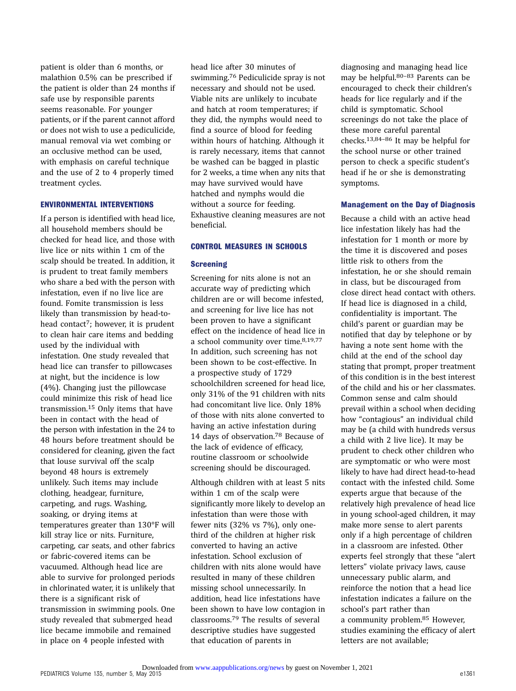patient is older than 6 months, or malathion 0.5% can be prescribed if the patient is older than 24 months if safe use by responsible parents seems reasonable. For younger patients, or if the parent cannot afford or does not wish to use a pediculicide, manual removal via wet combing or an occlusive method can be used, with emphasis on careful technique and the use of 2 to 4 properly timed treatment cycles.

# ENVIRONMENTAL INTERVENTIONS

If a person is identified with head lice, all household members should be checked for head lice, and those with live lice or nits within 1 cm of the scalp should be treated. In addition, it is prudent to treat family members who share a bed with the person with infestation, even if no live lice are found. Fomite transmission is less likely than transmission by head-tohead contact<sup>7</sup>; however, it is prudent to clean hair care items and bedding used by the individual with infestation. One study revealed that head lice can transfer to pillowcases at night, but the incidence is low (4%). Changing just the pillowcase could minimize this risk of head lice transmission.15 Only items that have been in contact with the head of the person with infestation in the 24 to 48 hours before treatment should be considered for cleaning, given the fact that louse survival off the scalp beyond 48 hours is extremely unlikely. Such items may include clothing, headgear, furniture, carpeting, and rugs. Washing, soaking, or drying items at temperatures greater than 130°F will kill stray lice or nits. Furniture, carpeting, car seats, and other fabrics or fabric-covered items can be vacuumed. Although head lice are able to survive for prolonged periods in chlorinated water, it is unlikely that there is a significant risk of transmission in swimming pools. One study revealed that submerged head lice became immobile and remained in place on 4 people infested with

head lice after 30 minutes of swimming.76 Pediculicide spray is not necessary and should not be used. Viable nits are unlikely to incubate and hatch at room temperatures; if they did, the nymphs would need to find a source of blood for feeding within hours of hatching. Although it is rarely necessary, items that cannot be washed can be bagged in plastic for 2 weeks, a time when any nits that may have survived would have hatched and nymphs would die without a source for feeding. Exhaustive cleaning measures are not beneficial.

#### CONTROL MEASURES IN SCHOOLS

# **Screening**

Screening for nits alone is not an accurate way of predicting which children are or will become infested, and screening for live lice has not been proven to have a significant effect on the incidence of head lice in a school community over time.8,19,77 In addition, such screening has not been shown to be cost-effective. In a prospective study of 1729 schoolchildren screened for head lice, only 31% of the 91 children with nits had concomitant live lice. Only 18% of those with nits alone converted to having an active infestation during 14 days of observation.78 Because of the lack of evidence of efficacy, routine classroom or schoolwide screening should be discouraged.

Although children with at least 5 nits within 1 cm of the scalp were significantly more likely to develop an infestation than were those with fewer nits (32% vs 7%), only onethird of the children at higher risk converted to having an active infestation. School exclusion of children with nits alone would have resulted in many of these children missing school unnecessarily. In addition, head lice infestations have been shown to have low contagion in classrooms.79 The results of several descriptive studies have suggested that education of parents in

diagnosing and managing head lice may be helpful.80–<sup>83</sup> Parents can be encouraged to check their children's heads for lice regularly and if the child is symptomatic. School screenings do not take the place of these more careful parental checks.13,84–<sup>86</sup> It may be helpful for the school nurse or other trained person to check a specific student's head if he or she is demonstrating symptoms.

# Management on the Day of Diagnosis

Because a child with an active head lice infestation likely has had the infestation for 1 month or more by the time it is discovered and poses little risk to others from the infestation, he or she should remain in class, but be discouraged from close direct head contact with others. If head lice is diagnosed in a child, confidentiality is important. The child's parent or guardian may be notified that day by telephone or by having a note sent home with the child at the end of the school day stating that prompt, proper treatment of this condition is in the best interest of the child and his or her classmates. Common sense and calm should prevail within a school when deciding how "contagious" an individual child may be (a child with hundreds versus a child with 2 live lice). It may be prudent to check other children who are symptomatic or who were most likely to have had direct head-to-head contact with the infested child. Some experts argue that because of the relatively high prevalence of head lice in young school-aged children, it may make more sense to alert parents only if a high percentage of children in a classroom are infested. Other experts feel strongly that these "alert letters" violate privacy laws, cause unnecessary public alarm, and reinforce the notion that a head lice infestation indicates a failure on the school's part rather than a community problem.85 However, studies examining the efficacy of alert letters are not available;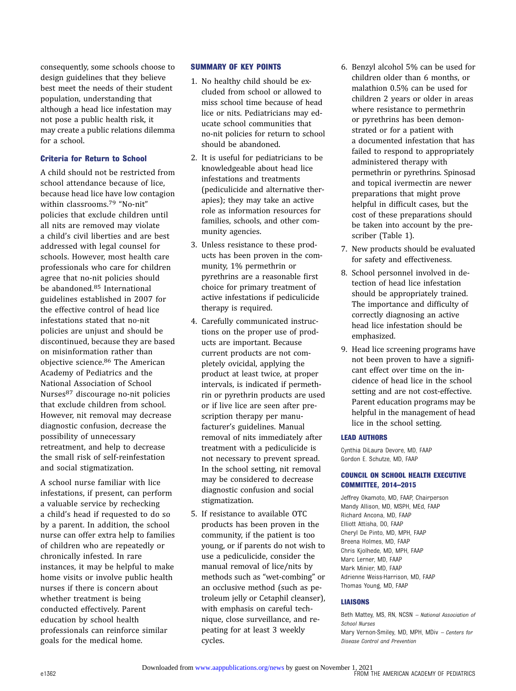consequently, some schools choose to design guidelines that they believe best meet the needs of their student population, understanding that although a head lice infestation may not pose a public health risk, it may create a public relations dilemma for a school.

# Criteria for Return to School

A child should not be restricted from school attendance because of lice, because head lice have low contagion within classrooms.79 "No-nit" policies that exclude children until all nits are removed may violate a child's civil liberties and are best addressed with legal counsel for schools. However, most health care professionals who care for children agree that no-nit policies should be abandoned.85 International guidelines established in 2007 for the effective control of head lice infestations stated that no-nit policies are unjust and should be discontinued, because they are based on misinformation rather than objective science.86 The American Academy of Pediatrics and the National Association of School Nurses87 discourage no-nit policies that exclude children from school. However, nit removal may decrease diagnostic confusion, decrease the possibility of unnecessary retreatment, and help to decrease the small risk of self-reinfestation and social stigmatization.

A school nurse familiar with lice infestations, if present, can perform a valuable service by rechecking a child's head if requested to do so by a parent. In addition, the school nurse can offer extra help to families of children who are repeatedly or chronically infested. In rare instances, it may be helpful to make home visits or involve public health nurses if there is concern about whether treatment is being conducted effectively. Parent education by school health professionals can reinforce similar goals for the medical home.

# SUMMARY OF KEY POINTS

- 1. No healthy child should be excluded from school or allowed to miss school time because of head lice or nits. Pediatricians may educate school communities that no-nit policies for return to school should be abandoned.
- 2. It is useful for pediatricians to be knowledgeable about head lice infestations and treatments (pediculicide and alternative therapies); they may take an active role as information resources for families, schools, and other community agencies.
- 3. Unless resistance to these products has been proven in the community, 1% permethrin or pyrethrins are a reasonable first choice for primary treatment of active infestations if pediculicide therapy is required.
- 4. Carefully communicated instructions on the proper use of products are important. Because current products are not completely ovicidal, applying the product at least twice, at proper intervals, is indicated if permethrin or pyrethrin products are used or if live lice are seen after prescription therapy per manufacturer's guidelines. Manual removal of nits immediately after treatment with a pediculicide is not necessary to prevent spread. In the school setting, nit removal may be considered to decrease diagnostic confusion and social stigmatization.
- 5. If resistance to available OTC products has been proven in the community, if the patient is too young, or if parents do not wish to use a pediculicide, consider the manual removal of lice/nits by methods such as "wet-combing" or an occlusive method (such as petroleum jelly or Cetaphil cleanser), with emphasis on careful technique, close surveillance, and repeating for at least 3 weekly cycles.
- 6. Benzyl alcohol 5% can be used for children older than 6 months, or malathion 0.5% can be used for children 2 years or older in areas where resistance to permethrin or pyrethrins has been demonstrated or for a patient with a documented infestation that has failed to respond to appropriately administered therapy with permethrin or pyrethrins. Spinosad and topical ivermectin are newer preparations that might prove helpful in difficult cases, but the cost of these preparations should be taken into account by the prescriber (Table 1).
- 7. New products should be evaluated for safety and effectiveness.
- 8. School personnel involved in detection of head lice infestation should be appropriately trained. The importance and difficulty of correctly diagnosing an active head lice infestation should be emphasized.
- 9. Head lice screening programs have not been proven to have a significant effect over time on the incidence of head lice in the school setting and are not cost-effective. Parent education programs may be helpful in the management of head lice in the school setting.

#### LEAD AUTHORS

Cynthia DiLaura Devore, MD, FAAP Gordon E. Schutze, MD, FAAP

# COUNCIL ON SCHOOL HEALTH EXECUTIVE COMMITTEE, 2014–2015

Jeffrey Okamoto, MD, FAAP, Chairperson Mandy Allison, MD, MSPH, MEd, FAAP Richard Ancona, MD, FAAP Elliott Attisha, DO, FAAP Cheryl De Pinto, MD, MPH, FAAP Breena Holmes, MD, FAAP Chris Kjolhede, MD, MPH, FAAP Marc Lerner, MD, FAAP Mark Minier, MD, FAAP Adrienne Weiss-Harrison, MD, FAAP Thomas Young, MD, FAAP

# LIAISONS

Beth Mattey, MS, RN, NCSN – National Association of School Nurses Mary Vernon-Smiley, MD, MPH, MDiv - Centers for Disease Control and Prevention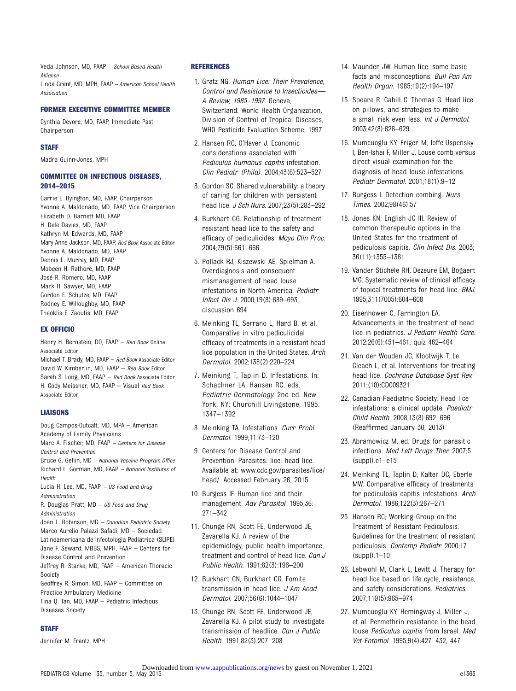Veda Johnson, MD, FAAP – School-Based Health Alliance Linda Grant, MD, MPH, FAAP – American School Health Association

#### FORMER EXECUTIVE COMMITTEE MEMBER

Cynthia Devore, MD, FAAP, Immediate Past Chairperson

#### **STAFF**

Madra Guinn-Jones, MPH

#### COMMITTEE ON INFECTIOUS DISEASES, 2014–2015

Carrie L. Byington, MD, FAAP, Chairperson Yvonne A. Maldonado, MD, FAAP, Vice Chairperson Elizabeth D. Barnett MD, FAAP H. Dele Davies, MD, FAAP Kathryn M. Edwards, MD, FAAP Mary Anne Jackson, MD, FAAP, Red Book Associate Editor Yvonne A. Maldonado, MD, FAAP Dennis L. Murray, MD, FAAP Mobeen H. Rathore, MD, FAAP José R. Romero, MD, FAAP Mark H. Sawyer, MD, FAAP Gordon E. Schutze, MD, FAAP Rodney E. Willoughby, MD, FAAP Theoklis E. Zaoutis, MD, FAAP

#### EX OFFICIO

Henry H. Bernstein, DO, FAAP – Red Book Online Associate Editor

Michael T. Brady, MD, FAAP – Red Book Associate Editor David W. Kimberlin, MD, FAAP – Red Book Editor Sarah S. Long, MD, FAAP – Red Book Associate Editor H. Cody Meissner, MD, FAAP – Visual Red Book Associate Editor

#### LIAISONS

- Doug Campos-Outcalt, MD, MPA American Academy of Family Physicians
- Marc A. Fischer, MD, FAAP Centers for Disease Control and Prevention
- Bruce G. Gellin, MD National Vaccine Program Office Richard L. Gorman, MD, FAAP – National Institutes of

Health Lucia H. Lee, MD, FAAP – US Food and Drug Administration

R. Douglas Pratt, MD – US Food and Drug Administration

Joan L. Robinson, MD - Canadian Pediatric Society Marco Aurelio Palazzi Safadi, MD – Sociedad Latinoamericana de Infectologia Pediatrica (SLIPE) Jane F. Seward, MBBS, MPH, FAAP – Centers for

Disease Control and Prevention Jeffrey R. Starke, MD, FAAP – American Thoracic Society

Geoffrey R. Simon, MD, FAAP – Committee on Practice Ambulatory Medicine

Tina Q. Tan, MD, FAAP – Pediatric Infectious

Diseases Society

#### **STAFF**

Jennifer M. Frantz, MPH

#### **REFERENCES**

- 1. Gratz NG. Human Lice: Their Prevalence, Control and Resistance to Insecticides-A Review, 1985–1997. Geneva, Switzerland: World Health Organization, Division of Control of Tropical Diseases, WHO Pesticide Evaluation Scheme; 1997
- 2. Hansen RC, O'Haver J. Economic considerations associated with Pediculus humanus capitis infestation. Clin Pediatr (Phila). 2004;43(6):523–527
- 3. Gordon SC. Shared vulnerability: a theory of caring for children with persistent head lice. J Sch Nurs. 2007;23(5):283–292
- 4. Burkhart CG. Relationship of treatmentresistant head lice to the safety and efficacy of pediculicides. Mayo Clin Proc. 2004;79(5):661–666
- 5. Pollack RJ, Kiszewski AE, Spielman A. Overdiagnosis and consequent mismanagement of head louse infestations in North America. Pediatr Infect Dis J. 2000;19(8):689–693, discussion 694
- 6. Meinking TL, Serrano L, Hard B, et al. Comparative in vitro pediculicidal efficacy of treatments in a resistant head lice population in the United States. Arch Dermatol. 2002;138(2):220–224
- 7. Meinking T, Taplin D. Infestations. In: Schachner LA, Hansen RC, eds. Pediatric Dermatology. 2nd ed. New York, NY: Churchill Livingstone; 1995: 1347–1392
- 8. Meinking TA. Infestations. Curr Probl Dermatol. 1999;11:73–120
- 9. Centers for Disease Control and Prevention. Parasites: lice: head lice. Available at: [www.cdc.gov/parasites/lice/](http://www.cdc.gov/parasites/lice/head/) [head/.](http://www.cdc.gov/parasites/lice/head/) Accessed February 26, 2015
- 10. Burgess IF. Human lice and their management. Adv Parasitol. 1995;36: 271–342
- 11. Chunge RN, Scott FE, Underwood JE, Zavarella KJ. A review of the epidemiology, public health importance, treatment and control of head lice. Can J Public Health. 1991;82(3):196–200
- 12. Burkhart CN, Burkhart CG. Fomite transmission in head lice. J Am Acad Dermatol. 2007;56(6):1044–1047
- 13. Chunge RN, Scott FE, Underwood JE, Zavarella KJ. A pilot study to investigate transmission of headlice. Can J Public Health. 1991;82(3):207–208
- 14. Maunder JW. Human lice: some basic facts and misconceptions. Bull Pan Am Health Organ. 1985;19(2):194–197
- 15. Speare R, Cahill C, Thomas G. Head lice on pillows, and strategies to make a small risk even less. Int J Dermatol. 2003;42(8):626–629
- 16. Mumcuoglu KY, Friger M, Ioffe-Uspensky I, Ben-Ishai F, Miller J. Louse comb versus direct visual examination for the diagnosis of head louse infestations. Pediatr Dermatol. 2001;18(1):9–12
- 17. Burgess I. Detection combing. Nurs Times. 2002;98(46):57
- 18. Jones KN, English JC III. Review of common therapeutic options in the United States for the treatment of pediculosis capitis. Clin Infect Dis. 2003; 36(11):1355–1361
- 19. Vander Stichele RH, Dezeure EM, Bogaert MG. Systematic review of clinical efficacy of topical treatments for head lice. BMJ. 1995;311(7005):604–608
- 20. Eisenhower C, Farrington EA. Advancements in the treatment of head lice in pediatrics. J Pediatr Health Care. 2012;26(6):451–461, quiz 462–464
- 21. Van der Wouden JC, Klootwijk T, Le Cleach L, et al. Interventions for treating head lice. Cochrane Database Syst Rev. 2011;(10):CD009321
- 22. Canadian Paediatric Society. Head lice infestations: a clinical update. Paediatr Child Health. 2008;13(8):692–696 (Reaffirmed January 30, 2013)
- 23. Abramowicz M, ed. Drugs for parasitic infections. Med Lett Drugs Ther. 2007;5 (suppl):e1–e15
- 24. Meinking TL, Taplin D, Kalter DC, Eberle MW. Comparative efficacy of treatments for pediculosis capitis infestations. Arch Dermatol. 1986;122(3):267–271
- 25. Hansen RC; Working Group on the Treatment of Resistant Pediculosis. Guidelines for the treatment of resistant pediculosis. Contemp Pediatr. 2000;17 (suppl):1–10
- 26. Lebwohl M, Clark L, Levitt J. Therapy for head lice based on life cycle, resistance, and safety considerations. Pediatrics. 2007;119(5):965–974
- 27. Mumcuoglu KY, Hemingway J, Miller J, et al. Permethrin resistance in the head louse Pediculus capitis from Israel. Med Vet Entomol. 1995;9(4):427–432, 447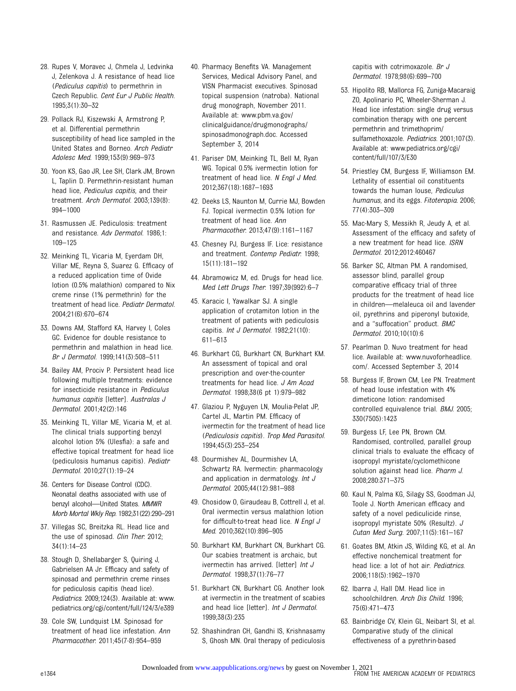- 28. Rupes V, Moravec J, Chmela J, Ledvinka J, Zelenkova J. A resistance of head lice (Pediculus capitis) to permethrin in Czech Republic. Cent Eur J Public Health. 1995;3(1):30–32
- 29. Pollack RJ, Kiszewski A, Armstrong P, et al. Differential permethrin susceptibility of head lice sampled in the United States and Borneo. Arch Pediatr Adolesc Med. 1999;153(9):969–973
- 30. Yoon KS, Gao JR, Lee SH, Clark JM, Brown L, Taplin D. Permethrin-resistant human head lice, Pediculus capitis, and their treatment. Arch Dermatol. 2003;139(8): 994–1000
- 31. Rasmussen JE. Pediculosis: treatment and resistance. Adv Dermatol. 1986;1: 109–125
- 32. Meinking TL, Vicaria M, Eyerdam DH, Villar ME, Reyna S, Suarez G. Efficacy of a reduced application time of Ovide lotion (0.5% malathion) compared to Nix creme rinse (1% permethrin) for the treatment of head lice. Pediatr Dermatol. 2004;21(6):670–674
- 33. Downs AM, Stafford KA, Harvey I, Coles GC. Evidence for double resistance to permethrin and malathion in head lice. Br J Dermatol. 1999;141(3):508–511
- 34. Bailey AM, Prociv P. Persistent head lice following multiple treatments: evidence for insecticide resistance in Pediculus humanus capitis [letter]. Australas J Dermatol. 2001;42(2):146
- 35. Meinking TL, Villar ME, Vicaria M, et al. The clinical trials supporting benzyl alcohol lotion 5% (Ulesfia): a safe and effective topical treatment for head lice (pediculosis humanus capitis). Pediatr Dermatol. 2010;27(1):19–24
- 36. Centers for Disease Control (CDC). Neonatal deaths associated with use of benzyl alcohol—United States. MMWR Morb Mortal Wkly Rep. 1982;31(22):290–291
- 37. Villegas SC, Breitzka RL. Head lice and the use of spinosad. Clin Ther. 2012; 34(1):14–23
- 38. Stough D, Shellabarger S, Quiring J, Gabrielsen AA Jr. Efficacy and safety of spinosad and permethrin creme rinses for pediculosis capitis (head lice). Pediatrics. 2009;124(3). Available at: www. pediatrics.org/cgi/content/full/124/3/e389
- 39. Cole SW, Lundquist LM. Spinosad for treatment of head lice infestation. Ann Pharmacother. 2011;45(7-8):954–959
- 40. Pharmacy Benefits VA. Management Services, Medical Advisory Panel, and VISN Pharmacist executives. Spinosad topical suspension (natroba). National drug monograph, November 2011. Available at: [www.pbm.va.gov/](http://www.pbm.va.gov/clinicalguidance/drugmonographs/spinosadmonograph.doc) [clinicalguidance/drugmonographs/](http://www.pbm.va.gov/clinicalguidance/drugmonographs/spinosadmonograph.doc) [spinosadmonograph.doc.](http://www.pbm.va.gov/clinicalguidance/drugmonographs/spinosadmonograph.doc) Accessed September 3, 2014
- 41. Pariser DM, Meinking TL, Bell M, Ryan WG. Topical 0.5% ivermectin lotion for treatment of head lice. N Engl J Med. 2012;367(18):1687–1693
- 42. Deeks LS, Naunton M, Currie MJ, Bowden FJ. Topical ivermectin 0.5% lotion for treatment of head lice. Ann Pharmacother. 2013;47(9):1161–1167
- 43. Chesney PJ, Burgess IF. Lice: resistance and treatment. Contemp Pediatr. 1998; 15(11):181–192
- 44. Abramowicz M, ed. Drugs for head lice. Med Lett Drugs Ther. 1997;39(992):6–7
- 45. Karacic I, Yawalkar SJ. A single application of crotamiton lotion in the treatment of patients with pediculosis capitis. Int J Dermatol. 1982;21(10): 611–613
- 46. Burkhart CG, Burkhart CN, Burkhart KM. An assessment of topical and oral prescription and over-the-counter treatments for head lice. J Am Acad Dermatol. 1998;38(6 pt 1):979–982
- 47. Glaziou P, Nyguyen LN, Moulia-Pelat JP, Cartel JL, Martin PM. Efficacy of ivermectin for the treatment of head lice (Pediculosis capitis). Trop Med Parasitol. 1994;45(3):253–254
- 48. Dourmishev AL, Dourmishev LA, Schwartz RA. Ivermectin: pharmacology and application in dermatology. Int J Dermatol. 2005;44(12):981–988
- 49. Chosidow O, Giraudeau B, Cottrell J, et al. Oral ivermectin versus malathion lotion for difficult-to-treat head lice. N Engl J Med. 2010;362(10):896–905
- 50. Burkhart KM, Burkhart CN, Burkhart CG. Our scabies treatment is archaic, but ivermectin has arrived. [letter] Int J Dermatol. 1998;37(1):76–77
- 51. Burkhart CN, Burkhart CG. Another look at ivermectin in the treatment of scabies and head lice [letter]. Int J Dermatol. 1999;38(3):235
- 52. Shashindran CH, Gandhi IS, Krishnasamy S, Ghosh MN. Oral therapy of pediculosis

capitis with cotrimoxazole. Br J Dermatol. 1978;98(6):699–700

- 53. Hipolito RB, Mallorca FG, Zuniga-Macaraig ZO, Apolinario PC, Wheeler-Sherman J. Head lice infestation: single drug versus combination therapy with one percent permethrin and trimethoprim/ sulfamethoxazole. Pediatrics. 2001;107(3). Available at: [www.pediatrics.org/cgi/](http://www.pediatrics.org/cgi/content/full/107/3/E30) [content/full/107/3/E30](http://www.pediatrics.org/cgi/content/full/107/3/E30)
- 54. Priestley CM, Burgess IF, Williamson EM. Lethality of essential oil constituents towards the human louse, Pediculus humanus, and its eggs. Fitoterapia. 2006; 77(4):303–309
- 55. Mac-Mary S, Messikh R, Jeudy A, et al. Assessment of the efficacy and safety of a new treatment for head lice. ISRN Dermatol. 2012;2012:460467
- 56. Barker SC, Altman PM. A randomised, assessor blind, parallel group comparative efficacy trial of three products for the treatment of head lice in children—melaleuca oil and lavender oil, pyrethrins and piperonyl butoxide, and a "suffocation" product. BMC Dermatol. 2010;10(10):6
- 57. Pearlman D. Nuvo treatment for head lice. Available at: [www.nuvoforheadlice.](http://www.nuvoforheadlice.com/) [com/.](http://www.nuvoforheadlice.com/) Accessed September 3, 2014
- 58. Burgess IF, Brown CM, Lee PN. Treatment of head louse infestation with 4% dimeticone lotion: randomised controlled equivalence trial. BMJ. 2005; 330(7505):1423
- 59. Burgess LF, Lee PN, Brown CM. Randomised, controlled, parallel group clinical trials to evaluate the efficacy of isopropyl myristate/cyclomethicone solution against head lice. Pharm J. 2008;280:371–375
- 60. Kaul N, Palma KG, Silagy SS, Goodman JJ, Toole J. North American efficacy and safety of a novel pediculicide rinse, isopropyl myristate 50% (Resultz). J Cutan Med Surg. 2007;11(5):161–167
- 61. Goates BM, Atkin JS, Wilding KG, et al. An effective nonchemical treatment for head lice: a lot of hot air. Pediatrics. 2006;118(5):1962–1970
- 62. Ibarra J, Hall DM. Head lice in schoolchildren. Arch Dis Child. 1996; 75(6):471–473
- 63. Bainbridge CV, Klein GL, Neibart SI, et al. Comparative study of the clinical effectiveness of a pyrethrin-based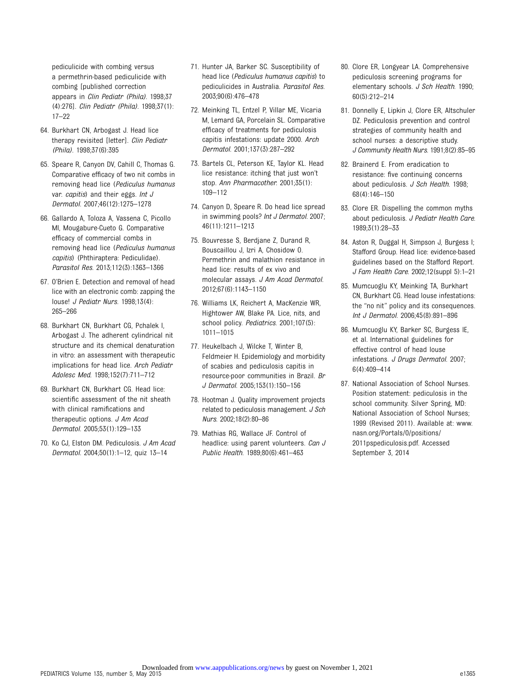pediculicide with combing versus a permethrin-based pediculicide with combing [published correction appears in Clin Pediatr (Phila). 1998;37 (4):276]. Clin Pediatr (Phila). 1998;37(1): 17–22

- 64. Burkhart CN, Arbogast J. Head lice therapy revisited [letter]. Clin Pediatr (Phila). 1998;37(6):395
- 65. Speare R, Canyon DV, Cahill C, Thomas G. Comparative efficacy of two nit combs in removing head lice (Pediculus humanus var. capitis) and their eggs. Int J Dermatol. 2007;46(12):1275–1278
- 66. Gallardo A, Toloza A, Vassena C, Picollo MI, Mougabure-Cueto G. Comparative efficacy of commercial combs in removing head lice (Pediculus humanus capitis) (Phthiraptera: Pediculidae). Parasitol Res. 2013;112(3):1363–1366
- 67. O'Brien E. Detection and removal of head lice with an electronic comb: zapping the louse! J Pediatr Nurs. 1998;13(4): 265–266
- 68. Burkhart CN, Burkhart CG, Pchalek I, Arbogast J. The adherent cylindrical nit structure and its chemical denaturation in vitro: an assessment with therapeutic implications for head lice. Arch Pediatr Adolesc Med. 1998;152(7):711–712
- 69. Burkhart CN, Burkhart CG. Head lice: scientific assessment of the nit sheath with clinical ramifications and therapeutic options. J Am Acad Dermatol. 2005;53(1):129–133
- 70. Ko CJ, Elston DM. Pediculosis. J Am Acad Dermatol. 2004;50(1):1–12, quiz 13–14
- 71. Hunter JA, Barker SC. Susceptibility of head lice (Pediculus humanus capitis) to pediculicides in Australia. Parasitol Res. 2003;90(6):476–478
- 72. Meinking TL, Entzel P, Villar ME, Vicaria M, Lemard GA, Porcelain SL. Comparative efficacy of treatments for pediculosis capitis infestations: update 2000. Arch Dermatol. 2001;137(3):287–292
- 73. Bartels CL, Peterson KE, Taylor KL. Head lice resistance: itching that just won't stop. Ann Pharmacother. 2001;35(1): 109–112
- 74. Canyon D, Speare R. Do head lice spread in swimming pools? Int J Dermatol. 2007; 46(11):1211–1213
- 75. Bouvresse S, Berdjane Z, Durand R, Bouscaillou J, Izri A, Chosidow O. Permethrin and malathion resistance in head lice: results of ex vivo and molecular assays. J Am Acad Dermatol. 2012;67(6):1143–1150
- 76. Williams LK, Reichert A, MacKenzie WR, Hightower AW, Blake PA. Lice, nits, and school policy. Pediatrics. 2001;107(5): 1011–1015
- 77. Heukelbach J, Wilcke T, Winter B, Feldmeier H. Epidemiology and morbidity of scabies and pediculosis capitis in resource-poor communities in Brazil. Br J Dermatol. 2005;153(1):150–156
- 78. Hootman J. Quality improvement projects related to pediculosis management. J Sch Nurs. 2002;18(2):80–86
- 79. Mathias RG, Wallace JF. Control of headlice: using parent volunteers. Can J Public Health. 1989;80(6):461–463
- 80. Clore ER, Longyear LA. Comprehensive pediculosis screening programs for elementary schools. J Sch Health. 1990; 60(5):212–214
- 81. Donnelly E, Lipkin J, Clore ER, Altschuler DZ. Pediculosis prevention and control strategies of community health and school nurses: a descriptive study. J Community Health Nurs. 1991;8(2):85–95
- 82. Brainerd E. From eradication to resistance: five continuing concerns about pediculosis. J Sch Health. 1998; 68(4):146–150
- 83. Clore ER. Dispelling the common myths about pediculosis. J Pediatr Health Care. 1989;3(1):28–33
- 84. Aston R, Duggal H, Simpson J, Burgess I; Stafford Group. Head lice: evidence-based guidelines based on the Stafford Report. J Fam Health Care. 2002;12(suppl 5):1–21
- 85. Mumcuoglu KY, Meinking TA, Burkhart CN, Burkhart CG. Head louse infestations: the "no nit" policy and its consequences. Int J Dermatol. 2006;45(8):891–896
- 86. Mumcuoglu KY, Barker SC, Burgess IE, et al. International guidelines for effective control of head louse infestations. J Drugs Dermatol. 2007; 6(4):409–414
- 87. National Association of School Nurses. Position statement: pediculosis in the school community. Silver Spring, MD: National Association of School Nurses; 1999 (Revised 2011). Available at: [www.](http://www.nasn.org/Portals/0/positions/2011pspediculosis.pdf) [nasn.org/Portals/0/positions/](http://www.nasn.org/Portals/0/positions/2011pspediculosis.pdf) [2011pspediculosis.pdf](http://www.nasn.org/Portals/0/positions/2011pspediculosis.pdf). Accessed September 3, 2014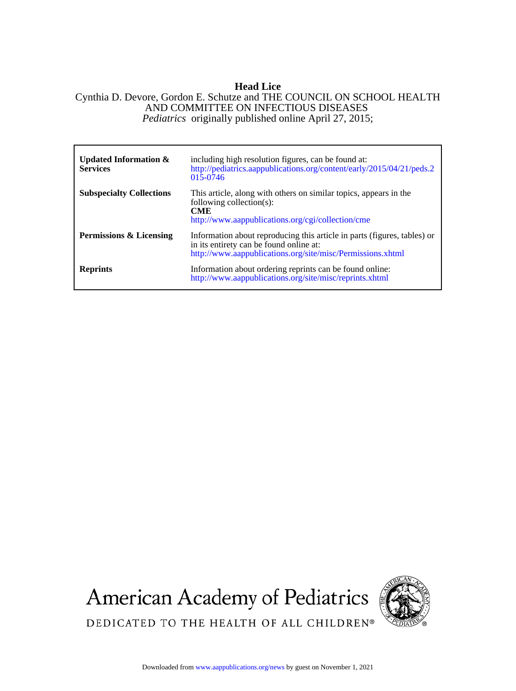# **Head Lice**

# *Pediatrics* originally published online April 27, 2015; AND COMMITTEE ON INFECTIOUS DISEASES Cynthia D. Devore, Gordon E. Schutze and THE COUNCIL ON SCHOOL HEALTH

| Updated Information $\&$<br><b>Services</b> | including high resolution figures, can be found at:<br>http://pediatrics.aappublications.org/content/early/2015/04/21/peds.2<br>015-0746                                          |
|---------------------------------------------|-----------------------------------------------------------------------------------------------------------------------------------------------------------------------------------|
| <b>Subspecialty Collections</b>             | This article, along with others on similar topics, appears in the<br>following collection(s):<br><b>CME</b><br>http://www.aappublications.org/cgi/collection/cme                  |
| <b>Permissions &amp; Licensing</b>          | Information about reproducing this article in parts (figures, tables) or<br>in its entirety can be found online at:<br>http://www.aappublications.org/site/misc/Permissions.xhtml |
| <b>Reprints</b>                             | Information about ordering reprints can be found online:<br>http://www.aappublications.org/site/misc/reprints.xhtml                                                               |

**American Academy of Pediatrics** 



DEDICATED TO THE HEALTH OF ALL CHILDREN®